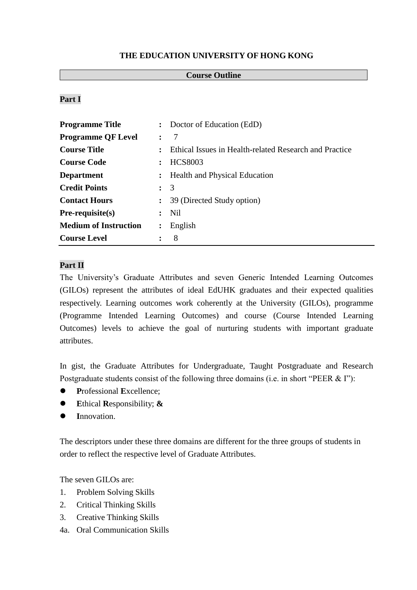## **THE EDUCATION UNIVERSITY OF HONG KONG**

### **Course Outline**

## **Part I**

| <b>Programme Title</b>       |                | : Doctor of Education (EdD)                            |  |
|------------------------------|----------------|--------------------------------------------------------|--|
| <b>Programme QF Level</b>    | $\ddot{\cdot}$ | 7                                                      |  |
| <b>Course Title</b>          | $\ddot{\cdot}$ | Ethical Issues in Health-related Research and Practice |  |
| <b>Course Code</b>           | $\ddot{\cdot}$ | <b>HCS8003</b>                                         |  |
| <b>Department</b>            |                | : Health and Physical Education                        |  |
| <b>Credit Points</b>         | $\colon$ 3     |                                                        |  |
| <b>Contact Hours</b>         | $\ddot{\cdot}$ | 39 (Directed Study option)                             |  |
| $Pre-requisite(s)$           |                | $:$ Nil                                                |  |
| <b>Medium of Instruction</b> | $\ddot{\cdot}$ | English                                                |  |
| <b>Course Level</b>          |                | 8                                                      |  |

# **Part II**

The University's Graduate Attributes and seven Generic Intended Learning Outcomes (GILOs) represent the attributes of ideal EdUHK graduates and their expected qualities respectively. Learning outcomes work coherently at the University (GILOs), programme (Programme Intended Learning Outcomes) and course (Course Intended Learning Outcomes) levels to achieve the goal of nurturing students with important graduate attributes.

In gist, the Graduate Attributes for Undergraduate, Taught Postgraduate and Research Postgraduate students consist of the following three domains (i.e. in short "PEER & I"):

- **P**rofessional **E**xcellence;
- **E**thical **R**esponsibility; **&**
- **I**nnovation.

The descriptors under these three domains are different for the three groups of students in order to reflect the respective level of Graduate Attributes.

The seven GILOs are:

- 1. Problem Solving Skills
- 2. Critical Thinking Skills
- 3. Creative Thinking Skills
- 4a. Oral Communication Skills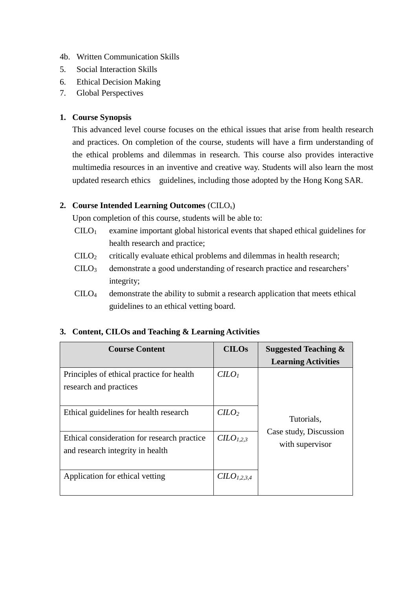- 4b. Written Communication Skills
- 5. Social Interaction Skills
- 6. Ethical Decision Making
- 7. Global Perspectives

## **1. Course Synopsis**

This advanced level course focuses on the ethical issues that arise from health research and practices. On completion of the course, students will have a firm understanding of the ethical problems and dilemmas in research. This course also provides interactive multimedia resources in an inventive and creative way. Students will also learn the most updated research ethics guidelines, including those adopted by the Hong Kong SAR.

# **2. Course Intended Learning Outcomes** (CILOs)

Upon completion of this course, students will be able to:

- $C I L O<sub>1</sub>$  examine important global historical events that shaped ethical guidelines for health research and practice;
- CILO<sup>2</sup> critically evaluate ethical problems and dilemmas in health research;
- CILO<sup>3</sup> demonstrate a good understanding of research practice and researchers' integrity;
- CILO<sup>4</sup> demonstrate the ability to submit a research application that meets ethical guidelines to an ethical vetting board.

# **3. Content, CILOs and Teaching & Learning Activities**

| <b>Course Content</b>                                                           | <b>CILOs</b>                        | <b>Suggested Teaching &amp;</b>                         |  |
|---------------------------------------------------------------------------------|-------------------------------------|---------------------------------------------------------|--|
|                                                                                 |                                     | <b>Learning Activities</b>                              |  |
| Principles of ethical practice for health<br>research and practices             | C <i>LO</i> <sub>1</sub>            |                                                         |  |
| Ethical guidelines for health research                                          | $C$                                 | Tutorials.<br>Case study, Discussion<br>with supervisor |  |
| Ethical consideration for research practice<br>and research integrity in health | C <sub>1.2.3</sub>                  |                                                         |  |
| Application for ethical vetting                                                 | C <sub>L</sub> O <sub>L,2,3,4</sub> |                                                         |  |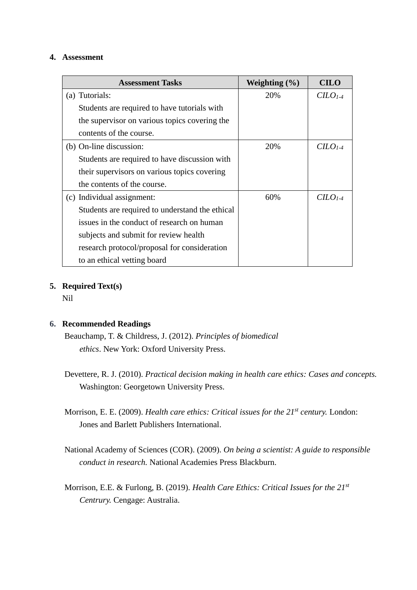#### **4. Assessment**

| <b>Assessment Tasks</b>                         | Weighting $(\% )$ | <b>CILO</b> |
|-------------------------------------------------|-------------------|-------------|
| (a) Tutorials:                                  | 20%               | $CLO1-4$    |
| Students are required to have tutorials with    |                   |             |
| the supervisor on various topics covering the   |                   |             |
| contents of the course.                         |                   |             |
| (b) On-line discussion:                         | 20%               | $CLO1-4$    |
| Students are required to have discussion with   |                   |             |
| their supervisors on various topics covering    |                   |             |
| the contents of the course.                     |                   |             |
| (c) Individual assignment:                      | 60%               | $CLO1-4$    |
| Students are required to understand the ethical |                   |             |
| issues in the conduct of research on human      |                   |             |
| subjects and submit for review health           |                   |             |
| research protocol/proposal for consideration    |                   |             |
| to an ethical vetting board                     |                   |             |

# **5. Required Text(s)**

Nil

### **6. Recommended Readings**

Beauchamp, T. & Childress, J. (2012). *Principles of biomedical ethics*. New York: Oxford University Press.

- Devettere, R. J. (2010). *Practical decision making in health care ethics: Cases and concepts.* Washington: Georgetown University Press.
- Morrison, E. E. (2009). *Health care ethics: Critical issues for the 21st century.* London: Jones and Barlett Publishers International.
- National Academy of Sciences (COR). (2009). *On being a scientist: A guide to responsible conduct in research.* National Academies Press Blackburn.
- Morrison, E.E. & Furlong, B. (2019). *Health Care Ethics: Critical Issues for the 21st Centrury.* Cengage: Australia.